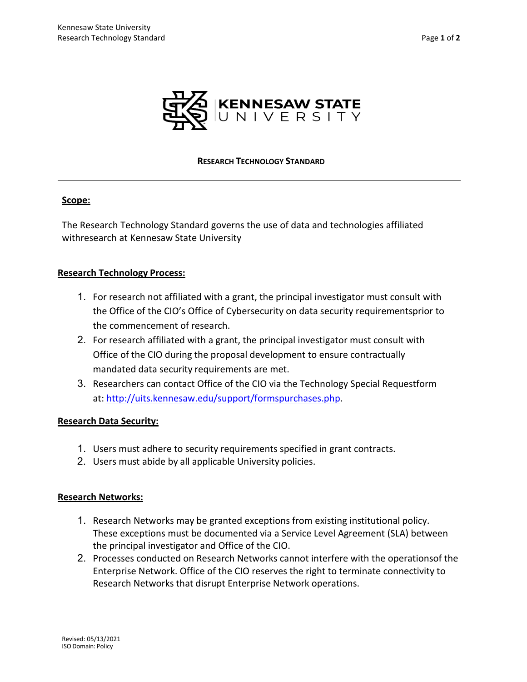

### **RESEARCH TECHNOLOGY STANDARD**

## **Scope:**

The Research Technology Standard governs the use of data and technologies affiliated withresearch at Kennesaw State University

## **Research Technology Process:**

- 1. For research not affiliated with a grant, the principal investigator must consult with the Office of the CIO's Office of Cybersecurity on data security requirementsprior to the commencement of research.
- 2. For research affiliated with a grant, the principal investigator must consult with Office of the CIO during the proposal development to ensure contractually mandated data security requirements are met.
- 3. Researchers can contact Office of the CIO via the Technology Special Requestform at: [http://uits.kennesaw.edu/support/formspurchases.php.](http://uits.kennesaw.edu/support/formspurchases.php)

## **Research Data Security:**

- 1. Users must adhere to security requirements specified in grant contracts.
- 2. Users must abide by all applicable University policies.

## **Research Networks:**

- 1. Research Networks may be granted exceptions from existing institutional policy. These exceptions must be documented via a Service Level Agreement (SLA) between the principal investigator and Office of the CIO.
- 2. Processes conducted on Research Networks cannot interfere with the operationsof the Enterprise Network. Office of the CIO reserves the right to terminate connectivity to Research Networks that disrupt Enterprise Network operations.